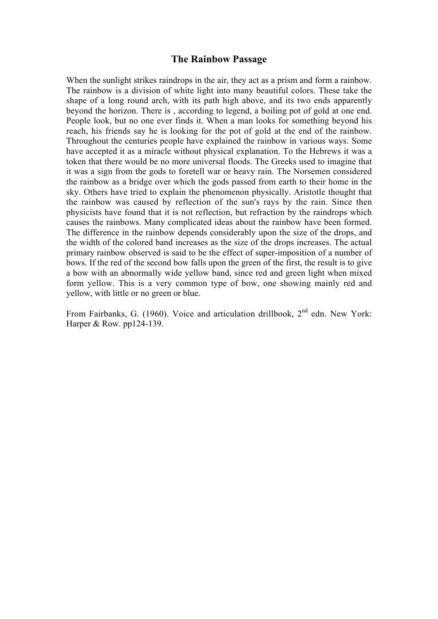#### The Rainbow Passage

When the sunlight strikes raindrops in the air, they act as a prism and form a rainbow. The rainbow is a division of white light into many beautiful colors. These take the shape of a long round arch, with its path high above, and its two ends apparently beyond the horizon. There is , according to legend, a boiling pot of gold at one end. People look, but no one ever finds it. When a man looks for something beyond his reach, his friends say he is looking for the pot of gold at the end of the rainbow. Throughout the centuries people have explained the rainbow in various ways. Some have accepted it as a miracle without physical explanation. To the Hebrews it was a token that there would be no more universal floods. The Greeks used to imagine that it was a sign from the gods to foretell war or heavy rain. The Norsemen considered the rainbow as a bridge over which the gods passed from earth to their home in the sky. Others have tried to explain the phenomenon physically. Aristotle thought that the rainbow was caused by reflection of the sun's rays by the rain. Since then physicists have found that it is not reflection, but refraction by the raindrops which causes the rainbows. Many complicated ideas about the rainbow have been formed. The difference in the rainbow depends considerably upon the size of the drops, and the width of the colored band increases as the size of the drops increases. The actual primary rainbow observed is said to be the effect of super-imposition of a number of bows. If the red of the second bow falls upon the green of the first, the result is to give a bow with an abnormally wide yellow band, since red and green light when mixed form yellow. This is a very common type of bow, one showing mainly red and yellow, with little or no green or blue.

From Fairbanks, G. (1960). Voice and articulation drillbook,  $2<sup>nd</sup>$  edn. New York: Harper & Row. pp124-139.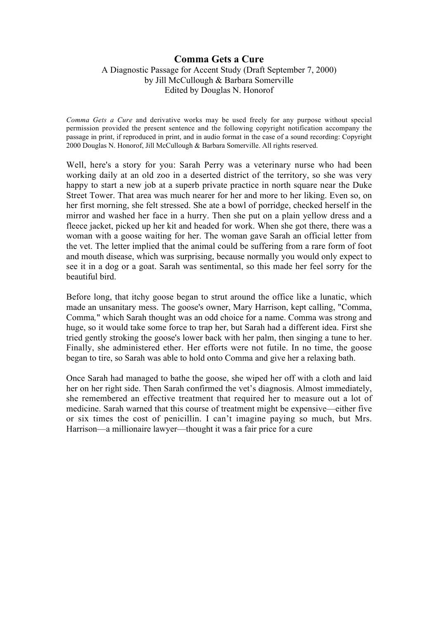### Comma Gets a Cure

A Diagnostic Passage for Accent Study (Draft September 7, 2000) by Jill McCullough & Barbara Somerville Edited by Douglas N. Honorof

*Comma Gets a Cure* and derivative works may be used freely for any purpose without special permission provided the present sentence and the following copyright notification accompany the passage in print, if reproduced in print, and in audio format in the case of a sound recording: Copyright 2000 Douglas N. Honorof, Jill McCullough & Barbara Somerville. All rights reserved.

Well, here's a story for you: Sarah Perry was a veterinary nurse who had been working daily at an old zoo in a deserted district of the territory, so she was very happy to start a new job at a superb private practice in north square near the Duke Street Tower. That area was much nearer for her and more to her liking. Even so, on her first morning, she felt stressed. She ate a bowl of porridge, checked herself in the mirror and washed her face in a hurry. Then she put on a plain yellow dress and a fleece jacket, picked up her kit and headed for work. When she got there, there was a woman with a goose waiting for her. The woman gave Sarah an official letter from the vet. The letter implied that the animal could be suffering from a rare form of foot and mouth disease, which was surprising, because normally you would only expect to see it in a dog or a goat. Sarah was sentimental, so this made her feel sorry for the beautiful bird.

Before long, that itchy goose began to strut around the office like a lunatic, which made an unsanitary mess. The goose's owner, Mary Harrison, kept calling, "Comma, Comma*,*" which Sarah thought was an odd choice for a name. Comma was strong and huge, so it would take some force to trap her, but Sarah had a different idea. First she tried gently stroking the goose's lower back with her palm, then singing a tune to her. Finally, she administered ether. Her efforts were not futile. In no time, the goose began to tire, so Sarah was able to hold onto Comma and give her a relaxing bath.

Once Sarah had managed to bathe the goose, she wiped her off with a cloth and laid her on her right side. Then Sarah confirmed the vet's diagnosis. Almost immediately, she remembered an effective treatment that required her to measure out a lot of medicine. Sarah warned that this course of treatment might be expensive—either five or six times the cost of penicillin. I can't imagine paying so much, but Mrs. Harrison—a millionaire lawyer—thought it was a fair price for a cure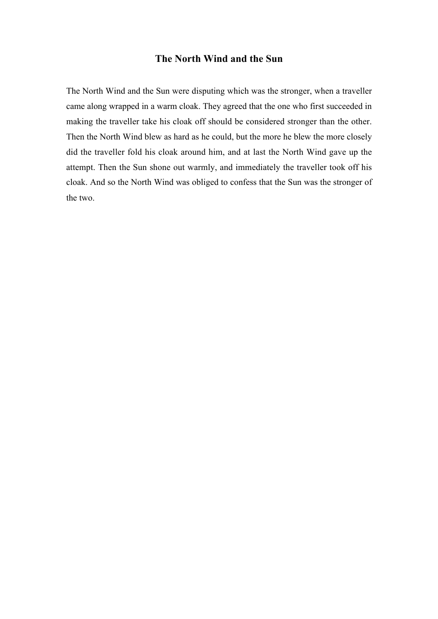## The North Wind and the Sun

The North Wind and the Sun were disputing which was the stronger, when a traveller came along wrapped in a warm cloak. They agreed that the one who first succeeded in making the traveller take his cloak off should be considered stronger than the other. Then the North Wind blew as hard as he could, but the more he blew the more closely did the traveller fold his cloak around him, and at last the North Wind gave up the attempt. Then the Sun shone out warmly, and immediately the traveller took off his cloak. And so the North Wind was obliged to confess that the Sun was the stronger of the two.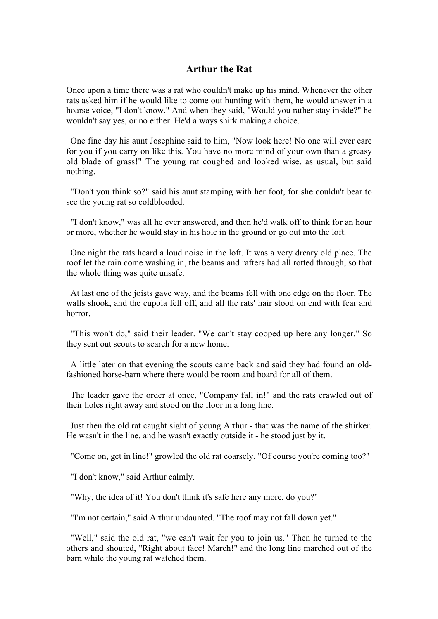### Arthur the Rat

Once upon a time there was a rat who couldn't make up his mind. Whenever the other rats asked him if he would like to come out hunting with them, he would answer in a hoarse voice, "I don't know." And when they said, "Would you rather stay inside?" he wouldn't say yes, or no either. He'd always shirk making a choice.

One fine day his aunt Josephine said to him, "Now look here! No one will ever care for you if you carry on like this. You have no more mind of your own than a greasy old blade of grass!" The young rat coughed and looked wise, as usual, but said nothing.

"Don't you think so?" said his aunt stamping with her foot, for she couldn't bear to see the young rat so coldblooded.

"I don't know," was all he ever answered, and then he'd walk off to think for an hour or more, whether he would stay in his hole in the ground or go out into the loft.

One night the rats heard a loud noise in the loft. It was a very dreary old place. The roof let the rain come washing in, the beams and rafters had all rotted through, so that the whole thing was quite unsafe.

At last one of the joists gave way, and the beams fell with one edge on the floor. The walls shook, and the cupola fell off, and all the rats' hair stood on end with fear and horror.

"This won't do," said their leader. "We can't stay cooped up here any longer." So they sent out scouts to search for a new home.

A little later on that evening the scouts came back and said they had found an oldfashioned horse-barn where there would be room and board for all of them.

The leader gave the order at once, "Company fall in!" and the rats crawled out of their holes right away and stood on the floor in a long line.

Just then the old rat caught sight of young Arthur - that was the name of the shirker. He wasn't in the line, and he wasn't exactly outside it - he stood just by it.

"Come on, get in line!" growled the old rat coarsely. "Of course you're coming too?"

"I don't know," said Arthur calmly.

"Why, the idea of it! You don't think it's safe here any more, do you?"

"I'm not certain," said Arthur undaunted. "The roof may not fall down yet."

"Well," said the old rat, "we can't wait for you to join us." Then he turned to the others and shouted, "Right about face! March!" and the long line marched out of the barn while the young rat watched them.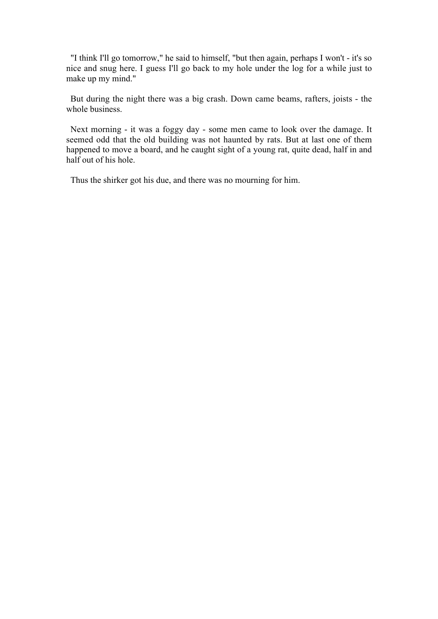"I think I'll go tomorrow," he said to himself, "but then again, perhaps I won't - it's so nice and snug here. I guess I'll go back to my hole under the log for a while just to make up my mind."

But during the night there was a big crash. Down came beams, rafters, joists - the whole business.

Next morning - it was a foggy day - some men came to look over the damage. It seemed odd that the old building was not haunted by rats. But at last one of them happened to move a board, and he caught sight of a young rat, quite dead, half in and half out of his hole.

Thus the shirker got his due, and there was no mourning for him.